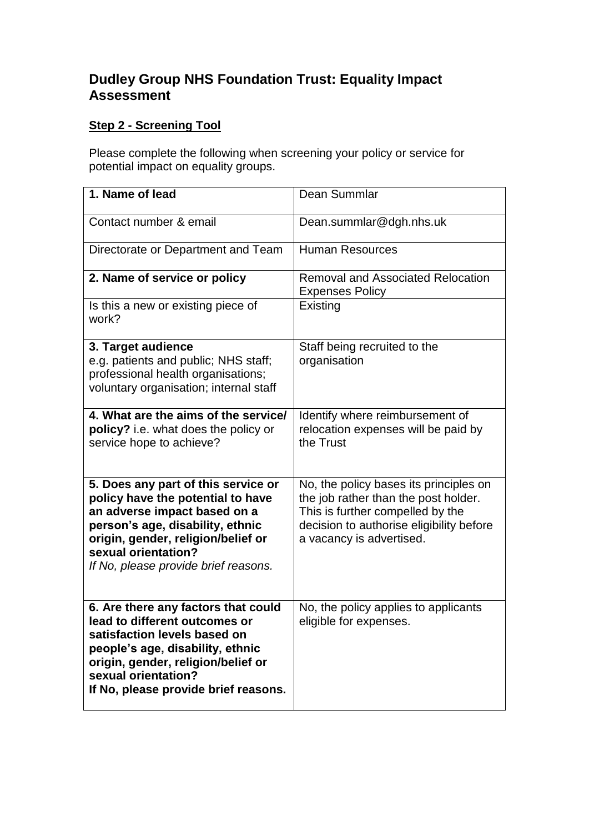## **Dudley Group NHS Foundation Trust: Equality Impact Assessment**

## **Step 2 - Screening Tool**

Please complete the following when screening your policy or service for potential impact on equality groups.

| 1. Name of lead                                                                                                                                                                                                                                   | Dean Summlar                                                                                                                                                                               |
|---------------------------------------------------------------------------------------------------------------------------------------------------------------------------------------------------------------------------------------------------|--------------------------------------------------------------------------------------------------------------------------------------------------------------------------------------------|
| Contact number & email                                                                                                                                                                                                                            | Dean.summlar@dgh.nhs.uk                                                                                                                                                                    |
| Directorate or Department and Team                                                                                                                                                                                                                | <b>Human Resources</b>                                                                                                                                                                     |
| 2. Name of service or policy                                                                                                                                                                                                                      | <b>Removal and Associated Relocation</b><br><b>Expenses Policy</b>                                                                                                                         |
| Is this a new or existing piece of<br>work?                                                                                                                                                                                                       | Existing                                                                                                                                                                                   |
| 3. Target audience<br>e.g. patients and public; NHS staff;<br>professional health organisations;<br>voluntary organisation; internal staff                                                                                                        | Staff being recruited to the<br>organisation                                                                                                                                               |
| 4. What are the aims of the service/<br>policy? i.e. what does the policy or<br>service hope to achieve?                                                                                                                                          | Identify where reimbursement of<br>relocation expenses will be paid by<br>the Trust                                                                                                        |
| 5. Does any part of this service or<br>policy have the potential to have<br>an adverse impact based on a<br>person's age, disability, ethnic<br>origin, gender, religion/belief or<br>sexual orientation?<br>If No, please provide brief reasons. | No, the policy bases its principles on<br>the job rather than the post holder.<br>This is further compelled by the<br>decision to authorise eligibility before<br>a vacancy is advertised. |
| 6. Are there any factors that could<br>lead to different outcomes or<br>satisfaction levels based on<br>people's age, disability, ethnic<br>origin, gender, religion/belief or<br>sexual orientation?<br>If No, please provide brief reasons.     | No, the policy applies to applicants<br>eligible for expenses.                                                                                                                             |